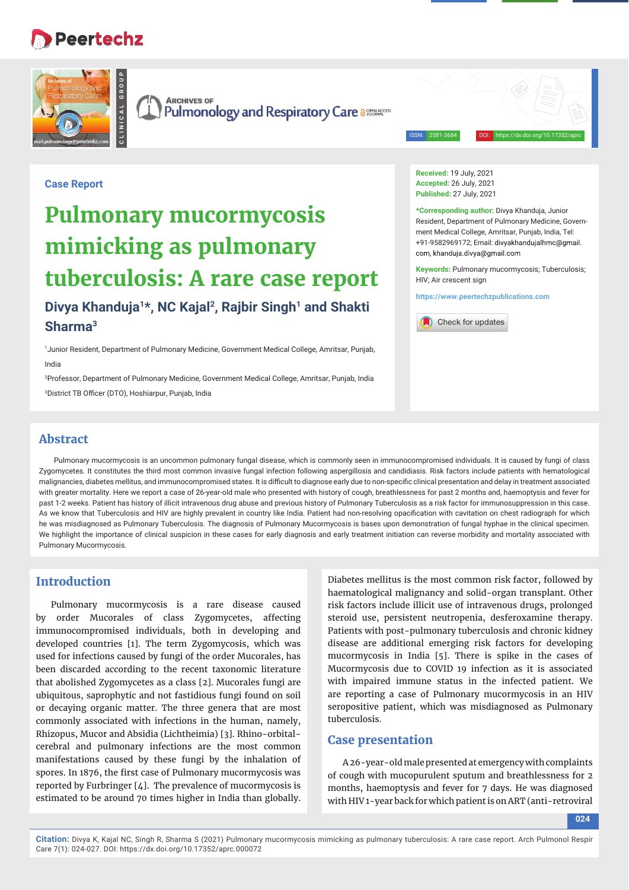# **Peertechz**

**CLINICAL GROUP**



**ARCHIVES OF Pulmonology and Respiratory Care assured by** 

ISSN: 2581-3684 DOI: https://dx.doi.org/10.17352/aprc

## **Case Report**

# **Pulmonary mucormycosis mimicking as pulmonary tuberculosis: A rare case report** Divya Khanduja<sup>1\*</sup>, NC Kajal<sup>2</sup>, Rajbir Singh<sup>1</sup> and Shakti **Sharma3**

1 Junior Resident, Department of Pulmonary Medicine, Government Medical College, Amritsar, Punjab, India

2 Professor, Department of Pulmonary Medicine, Government Medical College, Amritsar, Punjab, India

<sup>3</sup>District TB Officer (DTO), Hoshiarpur, Punjab, India

**Received:** 19 July, 2021 **Accepted:** 26 July, 2021 **Published:** 27 July, 2021

**\*Corresponding author:** Divya Khanduja, Junior Resident, Department of Pulmonary Medicine, Government Medical College, Amritsar, Punjab, India, Tel: +91-9582969172; Email: com, khanduja.divya@gmail.com

**Keywords:** Pulmonary mucormycosis; Tuberculosis; HIV; Air crescent sign

**https://www.peertechzpublications.com**



### **Abstract**

Pulmonary mucormycosis is an uncommon pulmonary fungal disease, which is commonly seen in immunocompromised individuals. It is caused by fungi of class Zygomycetes. It constitutes the third most common invasive fungal infection following aspergillosis and candidiasis. Risk factors include patients with hematological malignancies, diabetes mellitus, and immunocompromised states. It is difficult to diagnose early due to non-specific clinical presentation and delay in treatment associated with greater mortality. Here we report a case of 26-year-old male who presented with history of cough, breathlessness for past 2 months and, haemoptysis and fever for past 1-2 weeks. Patient has history of illicit intravenous drug abuse and previous history of Pulmonary Tuberculosis as a risk factor for immunosuppression in this case. As we know that Tuberculosis and HIV are highly prevalent in country like India. Patient had non-resolving opacification with cavitation on chest radiograph for which he was misdiagnosed as Pulmonary Tuberculosis. The diagnosis of Pulmonary Mucormycosis is bases upon demonstration of fungal hyphae in the clinical specimen. We highlight the importance of clinical suspicion in these cases for early diagnosis and early treatment initiation can reverse morbidity and mortality associated with Pulmonary Mucormycosis.

# **Introduction**

Pulmonary mucormycosis is a rare disease caused by order Mucorales of class Zygomycetes, affecting immunocompromised individuals, both in developing and developed countries [1]. The term Zygomycosis, which was used for infections caused by fungi of the order Mucorales, has been discarded according to the recent taxonomic literature that abolished Zygomycetes as a class [2]. Mucorales fungi are ubiquitous, saprophytic and not fastidious fungi found on soil or decaying organic matter. The three genera that are most commonly associated with infections in the human, namely, Rhizopus, Mucor and Absidia (Lichtheimia) [3]. Rhino-orbitalcerebral and pulmonary infections are the most common manifestations caused by these fungi by the inhalation of spores. In 1876, the first case of Pulmonary mucormycosis was reported by Furbringer  $[4]$ . The prevalence of mucormycosis is estimated to be around 70 times higher in India than globally.

Diabetes mellitus is the most common risk factor, followed by haematological malignancy and solid-organ transplant. Other risk factors include illicit use of intravenous drugs, prolonged steroid use, persistent neutropenia, desferoxamine therapy. Patients with post-pulmonary tuberculosis and chronic kidney disease are additional emerging risk factors for developing mucormycosis in India [5]. There is spike in the cases of Mucormycosis due to COVID 19 infection as it is associated with impaired immune status in the infected patient. We are reporting a case of Pulmonary mucormycosis in an HIV seropositive patient, which was misdiagnosed as Pulmonary tuberculosis.

#### **Case presentation**

A 26-year-old male presented at emergency with complaints of cough with mucopurulent sputum and breathlessness for 2 months, haemoptysis and fever for 7 days. He was diagnosed with HIV 1-year back for which patient is on ART (anti-retroviral

**024**

**Citation:** Divya K, Kajal NC, Singh R, Sharma S (2021) Pulmonary mucormycosis mimicking as pulmonary tuberculosis: A rare case report. Arch Pulmonol Respir Care 7(1): 024-027. DOI: https://dx.doi.org/10.17352/aprc.000072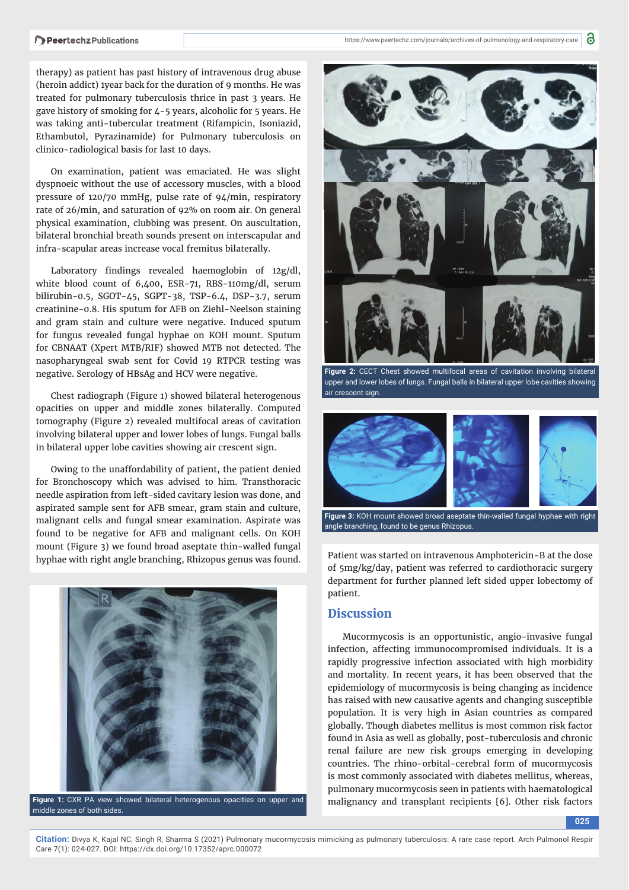https://www.peertechz.com/journals/archives-of-pulmonology-and-respiratory-care

therapy) as patient has past history of intravenous drug abuse (heroin addict) 1year back for the duration of 9 months. He was treated for pulmonary tuberculosis thrice in past 3 years. He gave history of smoking for 4-5 years, alcoholic for 5 years. He was taking anti-tubercular treatment (Rifampicin, Isoniazid, Ethambutol, Pyrazinamide) for Pulmonary tuberculosis on clinico-radiological basis for last 10 days.

On examination, patient was emaciated. He was slight dyspnoeic without the use of accessory muscles, with a blood pressure of 120/70 mmHg, pulse rate of 94/min, respiratory rate of 26/min, and saturation of 92% on room air. On general physical examination, clubbing was present. On auscultation, bilateral bronchial breath sounds present on interscapular and infra-scapular areas increase vocal fremitus bilaterally.

Laboratory findings revealed haemoglobin of 12g/dl, white blood count of 6,400, ESR-71, RBS-110mg/dl, serum bilirubin-0.5, SGOT-45, SGPT-38, TSP-6.4, DSP-3.7, serum creatinine-0.8. His sputum for AFB on Ziehl-Neelson staining and gram stain and culture were negative. Induced sputum for fungus revealed fungal hyphae on KOH mount. Sputum for CBNAAT (Xpert MTB/RIF) showed MTB not detected. The nasopharyngeal swab sent for Covid 19 RTPCR testing was negative. Serology of HBsAg and HCV were negative.

Chest radiograph (Figure 1) showed bilateral heterogenous opacities on upper and middle zones bilaterally. Computed tomography (Figure 2) revealed multifocal areas of cavitation involving bilateral upper and lower lobes of lungs. Fungal balls in bilateral upper lobe cavities showing air crescent sign.

Owing to the unaffordability of patient, the patient denied for Bronchoscopy which was advised to him. Transthoracic needle aspiration from left-sided cavitary lesion was done, and aspirated sample sent for AFB smear, gram stain and culture, malignant cells and fungal smear examination. Aspirate was found to be negative for AFB and malignant cells. On KOH mount (Figure 3) we found broad aseptate thin-walled fungal hyphae with right angle branching, Rhizopus genus was found. Patient was started on intravenous Amphotericin-B at the dose



middle zones of both sides.



**Figure 2:** CECT Chest showed multifocal areas of cavitation involving bilateral upper and lower lobes of lungs. Fungal balls in bilateral upper lobe cavities showing air crescent sign.



**Figure 3:** KOH mount showed broad aseptate thin-walled fungal hyphae with right angle branching, found to be genus Rhizopus.

of 5mg/kg/day, patient was referred to cardiothoracic surgery department for further planned left sided upper lobectomy of patient.

### **Discussion**

Mucormycosis is an opportunistic, angio-invasive fungal infection, affecting immunocompromised individuals. It is a rapidly progressive infection associated with high morbidity and mortality. In recent years, it has been observed that the epidemiology of mucormycosis is being changing as incidence has raised with new causative agents and changing susceptible population. It is very high in Asian countries as compared globally. Though diabetes mellitus is most common risk factor found in Asia as well as globally, post-tuberculosis and chronic renal failure are new risk groups emerging in developing countries. The rhino-orbital-cerebral form of mucormycosis is most commonly associated with diabetes mellitus, whereas, pulmonary mucormycosis seen in patients with haematological Figure 1: CXR PA view showed bilateral heterogenous opacities on upper and malignancy and transplant recipients [6]. Other risk factors

**025**

**Citation:** Divya K, Kajal NC, Singh R, Sharma S (2021) Pulmonary mucormycosis mimicking as pulmonary tuberculosis: A rare case report. Arch Pulmonol Respir Care 7(1): 024-027. DOI: https://dx.doi.org/10.17352/aprc.000072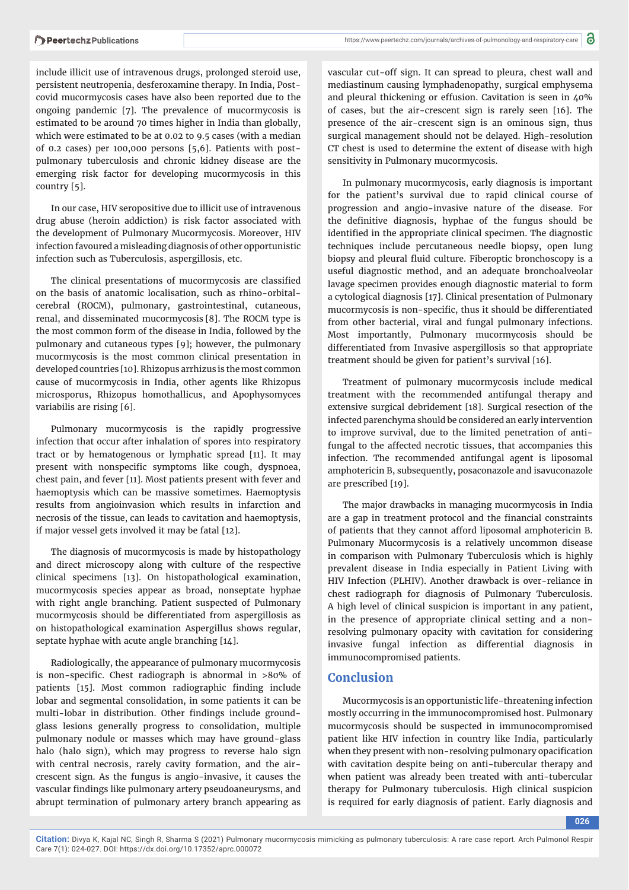include illicit use of intravenous drugs, prolonged steroid use, persistent neutropenia, desferoxamine therapy. In India, Postcovid mucormycosis cases have also been reported due to the ongoing pandemic [7]. The prevalence of mucormycosis is estimated to be around 70 times higher in India than globally, which were estimated to be at 0.02 to 9.5 cases (with a median of 0.2 cases) per 100,000 persons [5,6]. Patients with postpulmonary tuberculosis and chronic kidney disease are the emerging risk factor for developing mucormycosis in this country [5].

In our case, HIV seropositive due to illicit use of intravenous drug abuse (heroin addiction) is risk factor associated with the development of Pulmonary Mucormycosis. Moreover, HIV infection favoured a misleading diagnosis of other opportunistic infection such as Tuberculosis, aspergillosis, etc.

The clinical presentations of mucormycosis are classified on the basis of anatomic localisation, such as rhino-orbitalcerebral (ROCM), pulmonary, gastrointestinal, cutaneous, renal, and disseminated mucormycosis [8]. The ROCM type is the most common form of the disease in India, followed by the pulmonary and cutaneous types [9]; however, the pulmonary mucormycosis is the most common clinical presentation in developed countries [10]. Rhizopus arrhizus is the most common cause of mucormycosis in India, other agents like Rhizopus microsporus, Rhizopus homothallicus, and Apophysomyces variabilis are rising [6].

Pulmonary mucormycosis is the rapidly progressive infection that occur after inhalation of spores into respiratory tract or by hematogenous or lymphatic spread [11]. It may present with nonspecific symptoms like cough, dyspnoea, chest pain, and fever [11]. Most patients present with fever and haemoptysis which can be massive sometimes. Haemoptysis results from angioinvasion which results in infarction and necrosis of the tissue, can leads to cavitation and haemoptysis, if major vessel gets involved it may be fatal [12].

The diagnosis of mucormycosis is made by histopathology and direct microscopy along with culture of the respective clinical specimens [13]. On histopathological examination, mucormycosis species appear as broad, nonseptate hyphae with right angle branching. Patient suspected of Pulmonary mucormycosis should be differentiated from aspergillosis as on histopathological examination Aspergillus shows regular, septate hyphae with acute angle branching [14].

Radiologically, the appearance of pulmonary mucormycosis is non-specific. Chest radiograph is abnormal in  $>80\%$  of patients [15]. Most common radiographic finding include lobar and segmental consolidation, in some patients it can be multi-lobar in distribution. Other findings include groundglass lesions generally progress to consolidation, multiple pulmonary nodule or masses which may have ground-glass halo (halo sign), which may progress to reverse halo sign with central necrosis, rarely cavity formation, and the aircrescent sign. As the fungus is angio-invasive, it causes the vascular findings like pulmonary artery pseudoaneurysms, and abrupt termination of pulmonary artery branch appearing as

vascular cut-off sign. It can spread to pleura, chest wall and mediastinum causing lymphadenopathy, surgical emphysema and pleural thickening or effusion. Cavitation is seen in 40% of cases, but the air-crescent sign is rarely seen [16]. The presence of the air-crescent sign is an ominous sign, thus surgical management should not be delayed. High-resolution CT chest is used to determine the extent of disease with high sensitivity in Pulmonary mucormycosis.

In pulmonary mucormycosis, early diagnosis is important for the patient's survival due to rapid clinical course of progression and angio-invasive nature of the disease. For the definitive diagnosis, hyphae of the fungus should be identified in the appropriate clinical specimen. The diagnostic techniques include percutaneous needle biopsy, open lung biopsy and pleural fluid culture. Fiberoptic bronchoscopy is a useful diagnostic method, and an adequate bronchoalveolar lavage specimen provides enough diagnostic material to form a cytological diagnosis [17]. Clinical presentation of Pulmonary mucormycosis is non-specific, thus it should be differentiated from other bacterial, viral and fungal pulmonary infections. Most importantly, Pulmonary mucormycosis should be differentiated from Invasive aspergillosis so that appropriate treatment should be given for patient's survival [16].

Treatment of pulmonary mucormycosis include medical treatment with the recommended antifungal therapy and extensive surgical debridement [18]. Surgical resection of the infected parenchyma should be considered an early intervention to improve survival, due to the limited penetration of antifungal to the affected necrotic tissues, that accompanies this infection. The recommended antifungal agent is liposomal amphotericin B, subsequently, posaconazole and isavuconazole are prescribed [19].

The major drawbacks in managing mucormycosis in India are a gap in treatment protocol and the financial constraints of patients that they cannot afford liposomal amphotericin B. Pulmonary Mucormycosis is a relatively uncommon disease in comparison with Pulmonary Tuberculosis which is highly prevalent disease in India especially in Patient Living with HIV Infection (PLHIV). Another drawback is over-reliance in chest radiograph for diagnosis of Pulmonary Tuberculosis. A high level of clinical suspicion is important in any patient, in the presence of appropriate clinical setting and a nonresolving pulmonary opacity with cavitation for considering invasive fungal infection as differential diagnosis in immunocompromised patients.

# **Conclusion**

Mucormycosis is an opportunistic life-threatening infection mostly occurring in the immunocompromised host. Pulmonary mucormycosis should be suspected in immunocompromised patient like HIV infection in country like India, particularly when they present with non-resolving pulmonary opacification with cavitation despite being on anti-tubercular therapy and when patient was already been treated with anti-tubercular therapy for Pulmonary tuberculosis. High clinical suspicion is required for early diagnosis of patient. Early diagnosis and

**026**